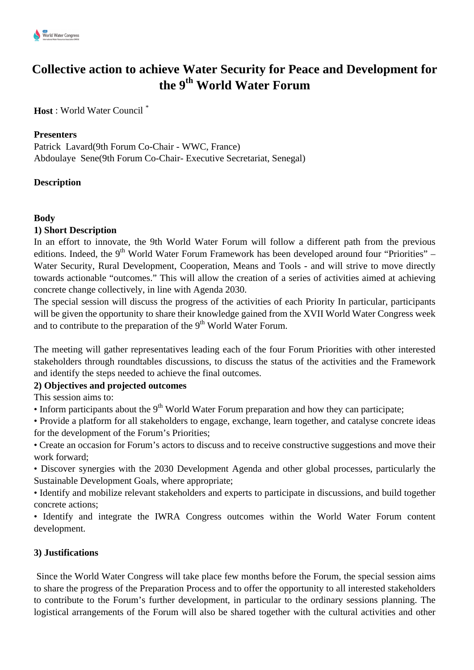

# **Collective action to achieve Water Security for Peace and Development for the 9th World Water Forum**

**Host** : World Water Council \*

## **Presenters**

Patrick Lavard(9th Forum Co-Chair - WWC, France) Abdoulaye Sene(9th Forum Co-Chair- Executive Secretariat, Senegal)

## **Description**

#### **Body**

#### **1) Short Description**

In an effort to innovate, the 9th World Water Forum will follow a different path from the previous editions. Indeed, the  $9<sup>th</sup>$  World Water Forum Framework has been developed around four "Priorities" – Water Security, Rural Development, Cooperation, Means and Tools - and will strive to move directly towards actionable "outcomes." This will allow the creation of a series of activities aimed at achieving concrete change collectively, in line with Agenda 2030.

The special session will discuss the progress of the activities of each Priority In particular, participants will be given the opportunity to share their knowledge gained from the XVII World Water Congress week and to contribute to the preparation of the  $9<sup>th</sup>$  World Water Forum.

The meeting will gather representatives leading each of the four Forum Priorities with other interested stakeholders through roundtables discussions, to discuss the status of the activities and the Framework and identify the steps needed to achieve the final outcomes.

#### **2) Objectives and projected outcomes**

This session aims to:

• Inform participants about the  $9<sup>th</sup>$  World Water Forum preparation and how they can participate;

• Provide a platform for all stakeholders to engage, exchange, learn together, and catalyse concrete ideas for the development of the Forum's Priorities;

• Create an occasion for Forum's actors to discuss and to receive constructive suggestions and move their work forward;

• Discover synergies with the 2030 Development Agenda and other global processes, particularly the Sustainable Development Goals, where appropriate;

• Identify and mobilize relevant stakeholders and experts to participate in discussions, and build together concrete actions;

• Identify and integrate the IWRA Congress outcomes within the World Water Forum content development.

### **3) Justifications**

Since the World Water Congress will take place few months before the Forum, the special session aims to share the progress of the Preparation Process and to offer the opportunity to all interested stakeholders to contribute to the Forum's further development, in particular to the ordinary sessions planning. The logistical arrangements of the Forum will also be shared together with the cultural activities and other